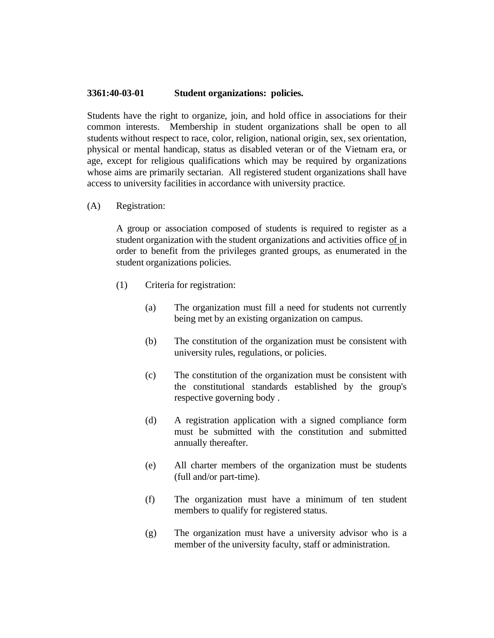## **3361:40-03-01 Student organizations: policies.**

Students have the right to organize, join, and hold office in associations for their common interests. Membership in student organizations shall be open to all students without respect to race, color, religion, national origin, sex, sex orientation, physical or mental handicap, status as disabled veteran or of the Vietnam era, or age, except for religious qualifications which may be required by organizations whose aims are primarily sectarian. All registered student organizations shall have access to university facilities in accordance with university practice.

(A) Registration:

A group or association composed of students is required to register as a student organization with the student organizations and activities office of in order to benefit from the privileges granted groups, as enumerated in the student organizations policies.

- (1) Criteria for registration:
	- (a) The organization must fill a need for students not currently being met by an existing organization on campus.
	- (b) The constitution of the organization must be consistent with university rules, regulations, or policies.
	- (c) The constitution of the organization must be consistent with the constitutional standards established by the group's respective governing body .
	- (d) A registration application with a signed compliance form must be submitted with the constitution and submitted annually thereafter.
	- (e) All charter members of the organization must be students (full and/or part-time).
	- (f) The organization must have a minimum of ten student members to qualify for registered status.
	- (g) The organization must have a university advisor who is a member of the university faculty, staff or administration.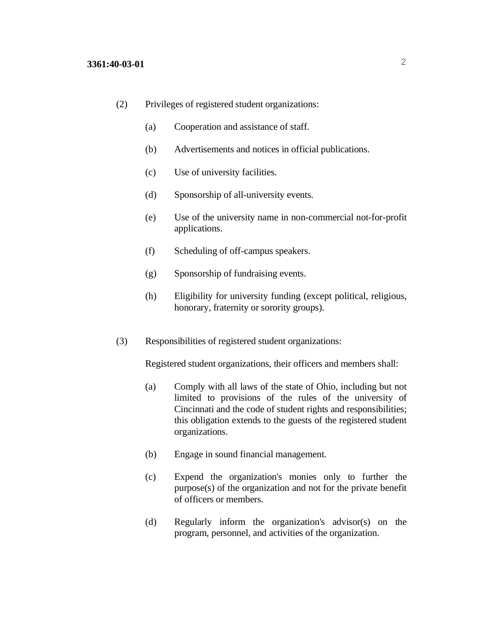- (2) Privileges of registered student organizations:
	- (a) Cooperation and assistance of staff.
	- (b) Advertisements and notices in official publications.
	- (c) Use of university facilities.
	- (d) Sponsorship of all-university events.
	- (e) Use of the university name in non-commercial not-for-profit applications.
	- (f) Scheduling of off-campus speakers.
	- (g) Sponsorship of fundraising events.
	- (h) Eligibility for university funding (except political, religious, honorary, fraternity or sorority groups).
- (3) Responsibilities of registered student organizations:

Registered student organizations, their officers and members shall:

- (a) Comply with all laws of the state of Ohio, including but not limited to provisions of the rules of the university of Cincinnati and the code of student rights and responsibilities; this obligation extends to the guests of the registered student organizations.
- (b) Engage in sound financial management.
- (c) Expend the organization's monies only to further the purpose(s) of the organization and not for the private benefit of officers or members.
- (d) Regularly inform the organization's advisor(s) on the program, personnel, and activities of the organization.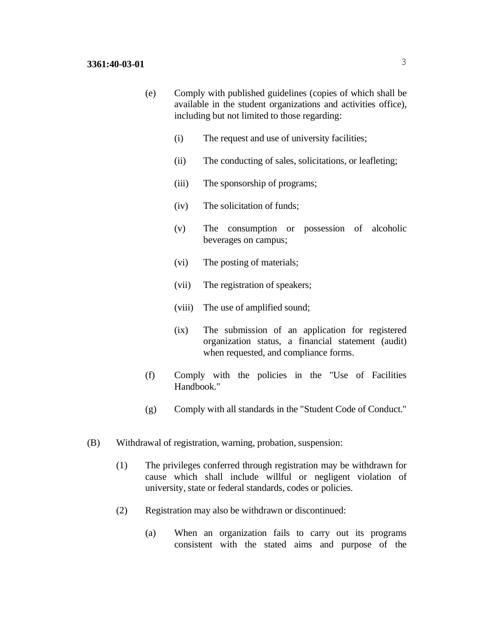- (e) Comply with published guidelines (copies of which shall be available in the student organizations and activities office), including but not limited to those regarding:
	- (i) The request and use of university facilities;
	- (ii) The conducting of sales, solicitations, or leafleting;
	- (iii) The sponsorship of programs;
	- (iv) The solicitation of funds;
	- (v) The consumption or possession of alcoholic beverages on campus;
	- (vi) The posting of materials;
	- (vii) The registration of speakers;
	- (viii) The use of amplified sound;
	- (ix) The submission of an application for registered organization status, a financial statement (audit) when requested, and compliance forms.
- (f) Comply with the policies in the "Use of Facilities Handbook."
- (g) Comply with all standards in the "Student Code of Conduct."
- (B) Withdrawal of registration, warning, probation, suspension:
	- (1) The privileges conferred through registration may be withdrawn for cause which shall include willful or negligent violation of university, state or federal standards, codes or policies.
	- (2) Registration may also be withdrawn or discontinued:
		- (a) When an organization fails to carry out its programs consistent with the stated aims and purpose of the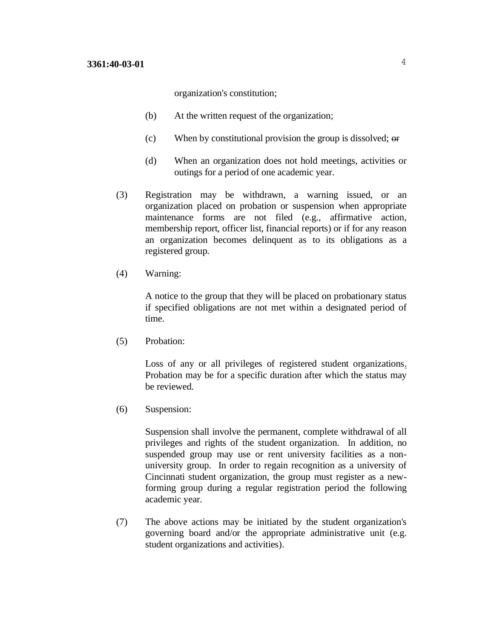organization's constitution;

- (b) At the written request of the organization;
- (c) When by constitutional provision the group is dissolved; or
- (d) When an organization does not hold meetings, activities or outings for a period of one academic year.
- (3) Registration may be withdrawn, a warning issued, or an organization placed on probation or suspension when appropriate maintenance forms are not filed (e.g., affirmative action, membership report, officer list, financial reports) or if for any reason an organization becomes delinquent as to its obligations as a registered group.
- (4) Warning:

A notice to the group that they will be placed on probationary status if specified obligations are not met within a designated period of time.

(5) Probation:

Loss of any or all privileges of registered student organizations. Probation may be for a specific duration after which the status may be reviewed.

(6) Suspension:

Suspension shall involve the permanent, complete withdrawal of all privileges and rights of the student organization. In addition, no suspended group may use or rent university facilities as a nonuniversity group. In order to regain recognition as a university of Cincinnati student organization, the group must register as a newforming group during a regular registration period the following academic year.

(7) The above actions may be initiated by the student organization's governing board and/or the appropriate administrative unit (e.g. student organizations and activities).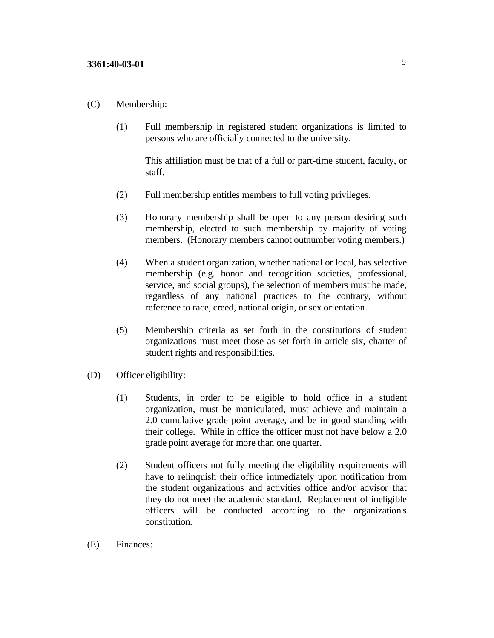## (C) Membership:

(1) Full membership in registered student organizations is limited to persons who are officially connected to the university.

This affiliation must be that of a full or part-time student, faculty, or staff.

- (2) Full membership entitles members to full voting privileges.
- (3) Honorary membership shall be open to any person desiring such membership, elected to such membership by majority of voting members. (Honorary members cannot outnumber voting members.)
- (4) When a student organization, whether national or local, has selective membership (e.g. honor and recognition societies, professional, service, and social groups), the selection of members must be made, regardless of any national practices to the contrary, without reference to race, creed, national origin, or sex orientation.
- (5) Membership criteria as set forth in the constitutions of student organizations must meet those as set forth in article six, charter of student rights and responsibilities.
- (D) Officer eligibility:
	- (1) Students, in order to be eligible to hold office in a student organization, must be matriculated, must achieve and maintain a 2.0 cumulative grade point average, and be in good standing with their college. While in office the officer must not have below a 2.0 grade point average for more than one quarter.
	- (2) Student officers not fully meeting the eligibility requirements will have to relinquish their office immediately upon notification from the student organizations and activities office and/or advisor that they do not meet the academic standard. Replacement of ineligible officers will be conducted according to the organization's constitution.
- (E) Finances: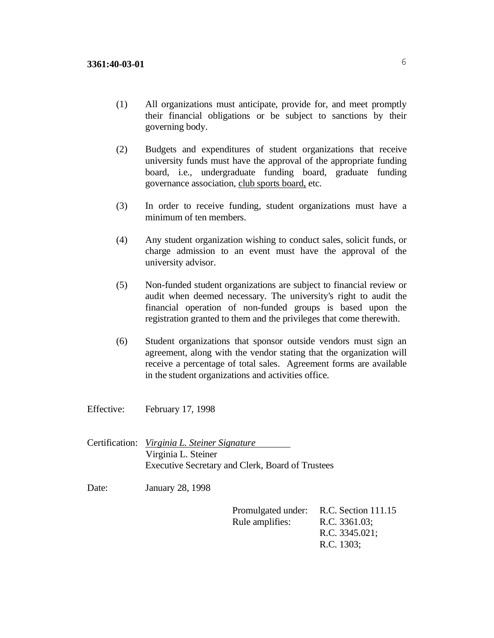- (1) All organizations must anticipate, provide for, and meet promptly their financial obligations or be subject to sanctions by their governing body.
- (2) Budgets and expenditures of student organizations that receive university funds must have the approval of the appropriate funding board, i.e., undergraduate funding board, graduate funding governance association, club sports board, etc.
- (3) In order to receive funding, student organizations must have a minimum of ten members.
- (4) Any student organization wishing to conduct sales, solicit funds, or charge admission to an event must have the approval of the university advisor.
- (5) Non-funded student organizations are subject to financial review or audit when deemed necessary. The university's right to audit the financial operation of non-funded groups is based upon the registration granted to them and the privileges that come therewith.
- (6) Student organizations that sponsor outside vendors must sign an agreement, along with the vendor stating that the organization will receive a percentage of total sales. Agreement forms are available in the student organizations and activities office.

Effective: February 17, 1998

Certification: *Virginia L. Steiner Signature* Virginia L. Steiner Executive Secretary and Clerk, Board of Trustees

Date: January 28, 1998

Promulgated under: R.C. Section 111.15 Rule amplifies: R.C. 3361.03; R.C. 3345.021; R.C. 1303;